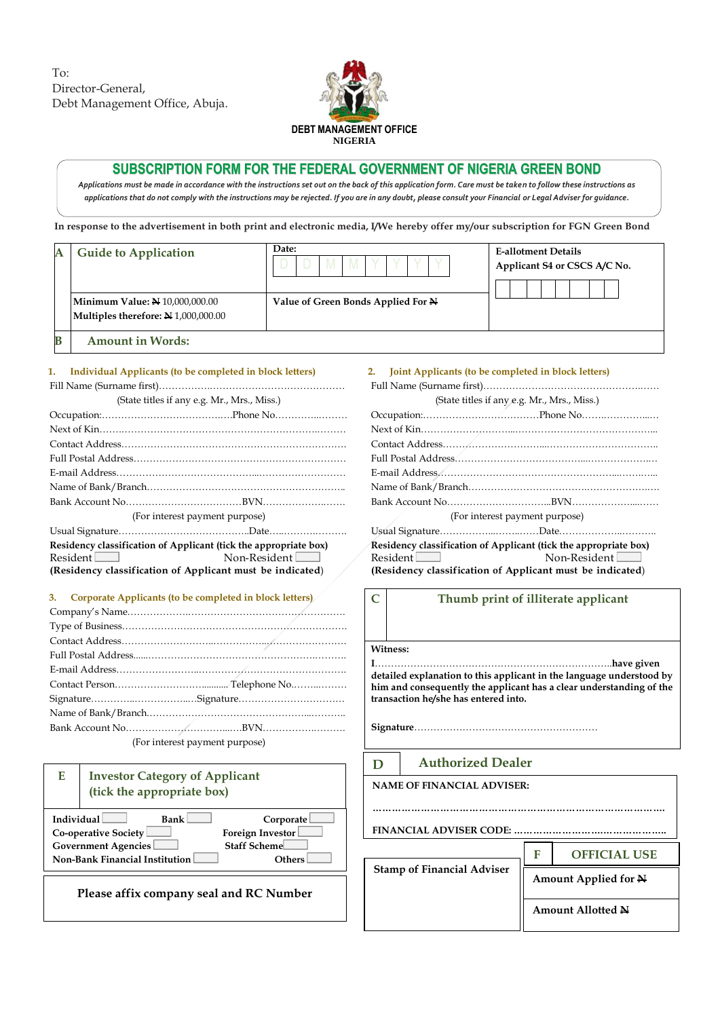To: Director-General, Debt Management Office, Abuja.



# **SUBSCRIPTION FORM FOR THE FEDERAL GOVERNMENT OF NIGERIA GREEN BOND**

*Applications must be made in accordance with the instructions set out on the back of this application form. Care must be taken to follow these instructions as applications that do not comply with the instructions may be rejected. If you are in any doubt, please consult your Financial or Legal Adviser for guidance.*

**In response to the advertisement in both print and electronic media, I/We hereby offer my/our subscription for FGN Green Bond**

|   | <b>Guide to Application</b>                                                  | Date:                              | <b>E-allotment Details</b><br>Applicant S4 or CSCS A/C No. |
|---|------------------------------------------------------------------------------|------------------------------------|------------------------------------------------------------|
|   | <b>Minimum Value: N</b> 10,000,000.00<br>Multiples therefore: N 1,000,000.00 | Value of Green Bonds Applied For N |                                                            |
| В | <b>Amount in Words:</b>                                                      |                                    |                                                            |

#### **1. Individual Applicants (to be completed in block letters)**

Fill Name (Surname first)…………….…………………………………… (State titles if any e.g. Mr., Mrs., Miss.)

|                                                                  | (For interest payment purpose) |
|------------------------------------------------------------------|--------------------------------|
|                                                                  |                                |
| Residency classification of Applicant (tick the appropriate box) |                                |
| $Resident$ $\Box$                                                | Non-Resident                   |
| (Residency classification of Applicant must be indicated)        |                                |

### **3. Corporate Applicants (to be completed in block letters)**

| (For interest payment purpose) |  |  |  |  |
|--------------------------------|--|--|--|--|

| Е                                                                                                                                                                                                                      | <b>Investor Category of Applicant</b><br>(tick the appropriate box) |  |  |  |
|------------------------------------------------------------------------------------------------------------------------------------------------------------------------------------------------------------------------|---------------------------------------------------------------------|--|--|--|
| <b>Individual</b><br><b>Bank</b><br>Corporate<br><b>Foreign Investor</b><br><b>Co-operative Society</b><br><b>Staff Scheme</b><br><b>Government Agencies</b><br><b>Non-Bank Financial Institution</b><br><b>Others</b> |                                                                     |  |  |  |
| Please affix company seal and RC Number                                                                                                                                                                                |                                                                     |  |  |  |

## **2. Joint Applicants (to be completed in block letters)** Full Name (Surname first)………………………………………….……

|                   | (State titles if any e.g. Mr., Mrs., Miss.)                      |
|-------------------|------------------------------------------------------------------|
|                   |                                                                  |
|                   |                                                                  |
|                   |                                                                  |
|                   |                                                                  |
|                   |                                                                  |
|                   |                                                                  |
|                   |                                                                  |
|                   | (For interest payment purpose)                                   |
|                   |                                                                  |
|                   | Residency classification of Applicant (tick the appropriate box) |
| $Resident$ $\Box$ | $\mathsf{Non-Resident}$                                          |
|                   | (Residency classification of Applicant must be indicated)        |

# **C Thumb print of illiterate applicant**

#### **Witness:**

**I**………………………………………………………………..**have given detailed explanation to this applicant in the language understood by him and consequently the applicant has a clear understanding of the transaction he/she has entered into.**

**Signature**…………………………………………………

**……………………………………………………………………………….**

**F**

#### **D Authorized Dealer**

**NAME OF FINANCIAL ADVISER:**

**Stamp of Financial Adviser** 

**FINANCIAL ADVISER CODE: ……………………….………………..**

**OFFICIAL USE** 

**Amount Applied for N**

**Amount Allotted N**